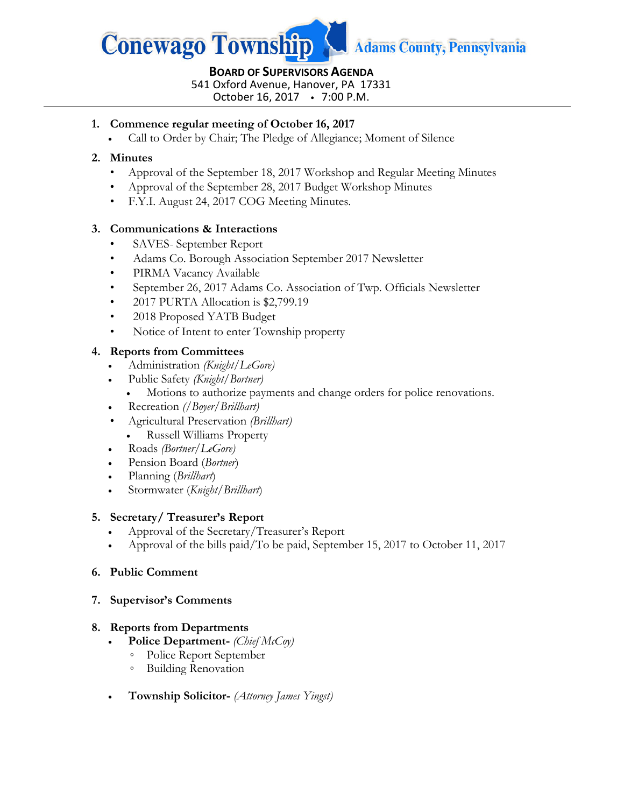

#### **BOARD OF SUPERVISORS AGENDA** 541 Oxford Avenue, Hanover, PA 17331 October 16, 2017 7:00 P.M.

**1. Commence regular meeting of October 16, 2017**

• Call to Order by Chair; The Pledge of Allegiance; Moment of Silence

### **2. Minutes**

- Approval of the September 18, 2017 Workshop and Regular Meeting Minutes
- Approval of the September 28, 2017 Budget Workshop Minutes
- F.Y.I. August 24, 2017 COG Meeting Minutes.

### **3. Communications & Interactions**

- SAVES- September Report
- Adams Co. Borough Association September 2017 Newsletter
- PIRMA Vacancy Available
- September 26, 2017 Adams Co. Association of Twp. Officials Newsletter
- 2017 PURTA Allocation is \$2,799.19
- 2018 Proposed YATB Budget
- Notice of Intent to enter Township property

#### **4. Reports from Committees**

- Administration *(Knight/LeGore)*
- Public Safety *(Knight/Bortner)*
	- Motions to authorize payments and change orders for police renovations.
- Recreation *(/Boyer/Brillhart)*
- Agricultural Preservation *(Brillhart)*
	- Russell Williams Property
- Roads *(Bortner/LeGore)*
- Pension Board (*Bortner*)
- Planning (*Brillhart*)
- Stormwater (*Knight/Brillhart*)

#### **5. Secretary/ Treasurer's Report**

- Approval of the Secretary/Treasurer's Report
- Approval of the bills paid/To be paid, September 15, 2017 to October 11, 2017

#### **6. Public Comment**

**7. Supervisor's Comments** 

#### **8. Reports from Departments**

- **Police Department-** *(Chief McCoy)*
	- Police Report September
	- Building Renovation
- **Township Solicitor-** *(Attorney James Yingst)*